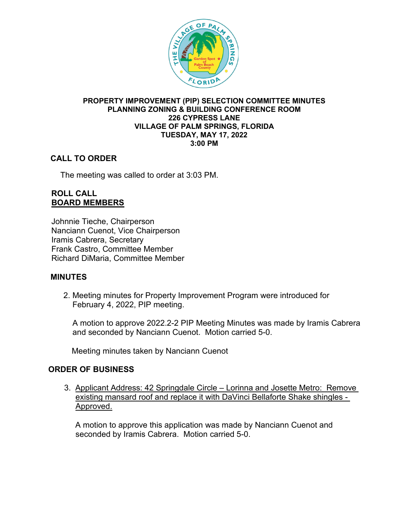

#### **PROPERTY IMPROVEMENT (PIP) SELECTION COMMITTEE MINUTES PLANNING ZONING & BUILDING CONFERENCE ROOM 226 CYPRESS LANE VILLAGE OF PALM SPRINGS, FLORIDA TUESDAY, MAY 17, 2022 3:00 PM**

# **CALL TO ORDER**

The meeting was called to order at 3:03 PM.

### **ROLL CALL BOARD MEMBERS**

Johnnie Tieche, Chairperson Nanciann Cuenot, Vice Chairperson Iramis Cabrera, Secretary Frank Castro, Committee Member Richard DiMaria, Committee Member

#### **MINUTES**

2. Meeting minutes for Property Improvement Program were introduced for February 4, 2022, PIP meeting.

A motion to approve 2022.2-2 PIP Meeting Minutes was made by Iramis Cabrera and seconded by Nanciann Cuenot. Motion carried 5-0.

Meeting minutes taken by Nanciann Cuenot

#### **ORDER OF BUSINESS**

 3. Applicant Address: 42 Springdale Circle – Lorinna and Josette Metro: Remove existing mansard roof and replace it with DaVinci Bellaforte Shake shingles - Approved.

 A motion to approve this application was made by Nanciann Cuenot and seconded by Iramis Cabrera. Motion carried 5-0.